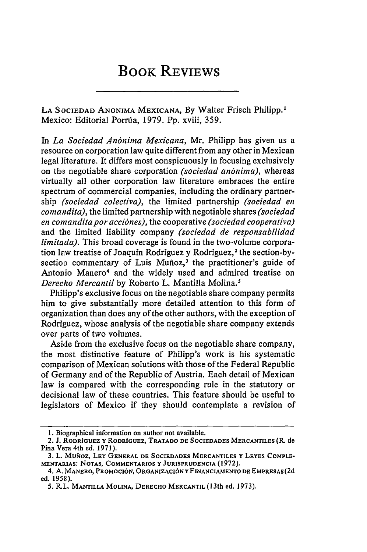## BOOK REVIEWS

LA SOCIEDAD ANONIMA MEXICANA, By Walter Frisch Philipp.' Mexico: Editorial Porria, 1979. Pp. xviii, 359.

In *La Sociedad An6nima Mexicana,* Mr. Philipp has given us a resource on corporation law quite different from any other in Mexican legal literature. It differs most conspicuously in focusing exclusively on the negotiable share corporation *(sociedad an6nima),* whereas virtually all other corporation law literature embraces the entire spectrum of commercial companies, including the ordinary partnership *(sociedad colectiva),* the limited partnership *(sociedad en comandita),* the limited partnership with negotiable shares *(sociedad en comanditapor acci6nes),* the cooperative *(sociedad cooperativa)* and the limited liability company *(sociedad de responsabilidad limitada).* This broad coverage is found in the two-volume corporation law treatise of Joaquin Rodriguez y Rodriguez,' the section-bysection commentary of Luis Muñoz,<sup>3</sup> the practitioner's guide of Antonio Manero<sup>4</sup> and the widely used and admired treatise on *Derecho Mercantil* by Roberto L. Mantilla Molina.5

Philipp's exclusive focus on the negotiable share company permits him to give substantially more detailed attention to this form of organization than does any of the other authors, with the exception of Rodriguez, whose analysis of the negotiable share company extends over parts of two volumes.

Aside from the exclusive focus on the negotiable share company, the most distinctive feature of Philipp's work is his systematic comparison of Mexican solutions with those of the Federal Republic of Germany and of the Republic of Austria. Each detail of Mexican law is compared with the corresponding rule in the statutory or decisional law of these countries. This feature should be useful to legislators of Mexico if they should contemplate a revision of

<sup>1.</sup> Biographical information on author not available.

<sup>2.</sup> **J. R.ODRiGUEZ Y RODRiGUEZ, TRATADO DE SOCIEDADES MERCANTILES** (R. **de** Pina Vera 4th ed. **1971).**

<sup>3.</sup> L. MUNOZ, LEY GENERAL DE SOCIEDADES MERCANTILES Y LEYES COMPLE-**MENTARIAS: NOTAS, COMMENTARIOS Y JURISPRUDENCIA** (1972).

<sup>4.</sup> **A. MANERO, PROMOcI6N, ORGANIZACI6N Y FINANCIAMENTO DE EMPRESAS (2d** ed. 1958).

**<sup>5.</sup>** RLL. **MANTILLA MOLINA, DERECHO MERCANTIL (13th ed. 1973).**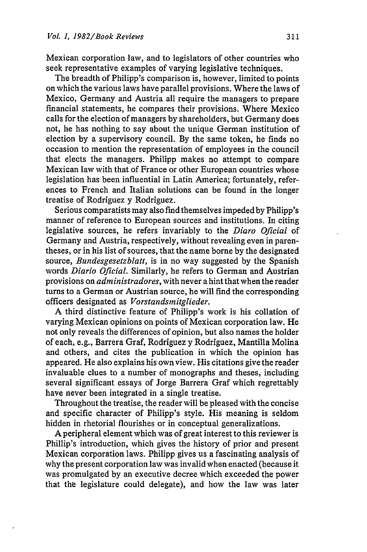Mexican corporation law, and to legislators of other countries who seek representative examples of varying legislative techniques.

The breadth of Philipp's comparison is, however, limited to points on which the various laws have parallel provisions. Where the laws of Mexico, Germany and Austria all require the managers to prepare financial statements, he compares their provisions. Where Mexico calls for the election of managers by shareholders, but Germany does not, he has nothing to say about the unique German institution of election by a supervisory council. By the same token, he finds no occasion to mention the representation of employees in the council that elects the managers. Philipp makes no attempt to compare Mexican law with that of France or other European countries whose legislation has been influential in Latin America; fortunately, references to French and Italian solutions can be found in the longer treatise of Rodriguez y Rodriguez.

Serious comparatists may also find themselves impeded by Philipp's manner of reference to European sources and institutions. In citing legislative sources, he refers invariably to the *Diaro Oficial* of Germany and Austria, respectively, without revealing even in parentheses, or in his list of sources, that the name borne by the designated source, *Bundesgesetzblatt,* is in no way suggested by the Spanish words *Diario Oficial.* Similarly, he refers to German and Austrian provisions on *administradores,* with never a hint that when the reader turns to a German or Austrian source, he will find the corresponding officers designated as *Vorstandsmitglieder.*

A third distinctive feature of Philipp's work is his collation of varying Mexican opinions on points of Mexican corporation law. He not only reveals the differences of opinion, but also names the holder of each, e.g., Barrera Graf, Rodriguez y Rodriguez, Mantilla Molina and others, and cites the publication in which the opinion has appeared. He also explains his own view. His citations give the reader invaluable clues to a number of monographs and theses, including several significant essays of Jorge Barrera Graf which regrettably have never been integrated in a single treatise.

Throughout the treatise, the reader will be pleased with the concise and specific character of Philipp's style. His meaning is seldom hidden in rhetorial flourishes or in conceptual generalizations.

A peripheral element which was of great interest to this reviewer is Phillip's introduction, which gives the history of prior and present Mexican corporation laws. Philipp gives us a fascinating analysis of why the present corporation law was invalid when enacted (because it was promulgated by an executive decree which exceeded the power that the legislature could delegate), and how the law was later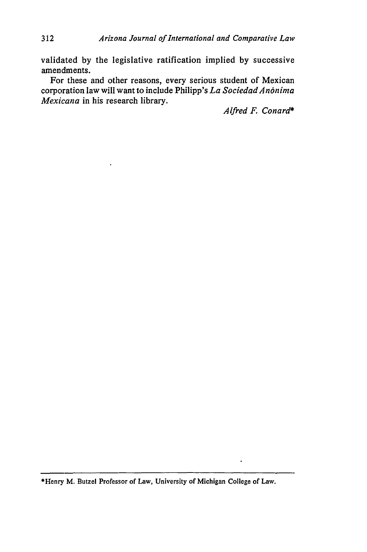validated **by** the legislative ratification implied **by** successive amendments.

For these and other reasons, every serious student of Mexican corporation law will want to include Philipp's *La Sociedad Anónima Mexicana* in his research library.

*Alfred F. Conard\**

\*Henry M. Butzel Professor of Law, University of Michigan College of Law.

 $\ddot{\phantom{0}}$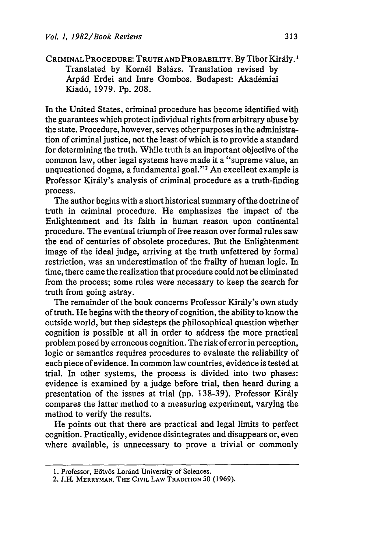CRIMINAL PROCEDURE: TRUTH AND PROBABILITY. By Tibor Király.<sup>1</sup> Translated by Kornél Balázs. Translation revised by Arpád Erdei and Imre Gombos. Budapest: Akadémiai Kiad6, **1979. Pp. 208.**

In the United States, criminal procedure has become identified with the guarantees which protect individual rights from arbitrary abuse **by** the state. Procedure, however, serves other purposes in the administration of criminal justice, not the least of which is to provide a standard for determining the truth. While truth is an important objective of the common law, other legal systems have made it a "supreme value, an unquestioned dogma, a fundamental goal."<sup>2</sup> An excellent example is Professor Király's analysis of criminal procedure as a truth-finding process.

The author begins with a short historical summary of the doctrine of truth in criminal procedure. He emphasizes the impact of the Enlightenment and its faith in human reason upon continental procedure. The eventual triumph of free reason over formal rules saw the end of centuries of obsolete procedures. But the Enlightenment image of the ideal **judge,** arriving at the truth unfettered **by** formal restriction, was an underestimation of the frailty of human logic. In time, there came the realization that procedure could not be eliminated from the process; some rules were necessary to keep the search for truth from going astray.

The remainder of the book concerns Professor Király's own study of truth. He begins with the theory of cognition, the ability to know the outside world, but then sidesteps the philosophical question whether cognition is possible at all in order to address the more practical problem posed by erroneous cognition. The risk of error in perception, logic or semantics requires procedures to evaluate the reliability of each piece of evidence. In common law countries, evidence is tested at trial. In other systems, the process is divided into two phases: evidence is examined by a judge before trial, then heard during a presentation of the issues at trial (pp. 138-39). Professor Király compares the latter method to a measuring experiment, varying the method to verify the results.

He points out that there are practical and legal limits to perfect cognition. Practically, evidence disintegrates and disappears or, even where available, is unnecessary to prove a trivial or commonly

<sup>1.</sup> Professor, Eötvös Loránd University of Sciences.

<sup>2.</sup> **J.H. MERRYMAN, THE CIVIL LAW TRADITION 50 (1969).**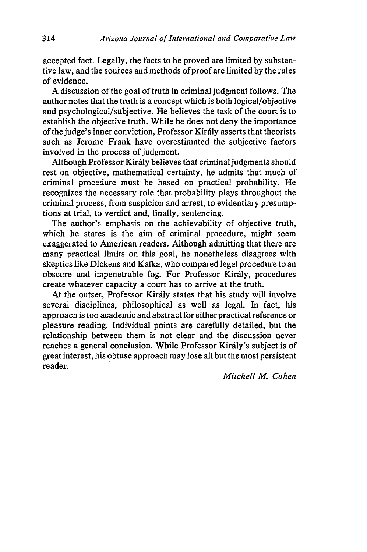accepted fact. Legally, the facts to be proved are limited by substantive law, and the sources and methods of proof are limited by the rules of evidence.

A discussion of the goal of truth in criminal judgment follows. The author notes that the truth is a concept which is both logical/objective and psychological/subjective. He believes the task of the court is to establish the objective truth. While he does not deny the importance of the judge's inner conviction, Professor Kirdly asserts that theorists such as Jerome Frank have overestimated the subjective factors involved in the process of judgment.

Although Professor Király believes that criminal judgments should rest on objective, mathematical certainty, he admits that much of criminal procedure must be based on practical probability. He recognizes the necessary role that probability plays throughout the criminal process, from suspicion and arrest, to evidentiary presumptions at trial, to verdict and, finally, sentencing.

The author's emphasis on the achievability of objective truth, which he states is the aim of criminal procedure, might seem exaggerated to American readers. Although admitting that there are many practical limits on this goal, he nonetheless disagrees with skeptics like Dickens and Kafka, who compared legal procedure to an obscure and impenetrable fog. For Professor Király, procedures create whatever capacity a court has to arrive at the truth.

At the outset, Professor Kirdly states that his study will involve several disciplines, philosophical as well as legal. In fact, his approach is too academic and abstract for either practical reference or pleasure reading. Individual points are carefully detailed, but the relationship between them is not clear and the discussion never reaches a general conclusion. While Professor Kirdly's subject is of great interest, his obtuse approach may lose all but the most persistent reader.

*Mitchell M. Cohen*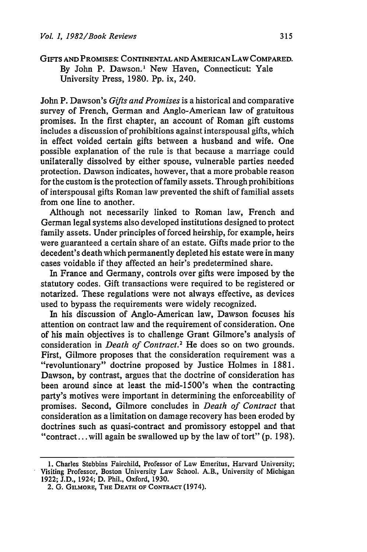GIFTS **AND** PROMISES: CONTINENTAL **AND** AMERICAN LAW COMPARED. By John P. Dawson.<sup>1</sup> New Haven, Connecticut: Yale University Press, 1980. Pp. ix, 240.

John P. Dawson's *Gifts and Promises* is a historical and comparative survey of French, German and Anglo-American law of gratuitous promises. In the first chapter, an account of Roman gift customs includes a discussion of prohibitions against interspousal gifts, which in effect voided certain gifts between a husband and wife. One possible explanation of the rule is that because a marriage could unilaterally dissolved by either spouse, vulnerable parties needed protection. Dawson indicates, however, that a more probable reason for the custom is the protection of family assets. Through prohibitions of interspousal gifts Roman law prevented the shift of familial assets from one line to another.

Although not necessarily linked to Roman law, French and German legal systems also developed institutions designed to protect family assets. Under principles of forced heirship, for example, heirs were guaranteed a certain share of an estate. Gifts made prior to the decedent's death which permanently depleted his estate were in many cases voidable if they affected an heir's predetermined share.

In France and Germany, controls over gifts were imposed by the statutory codes. Gift transactions were required to be registered or notarized. These regulations were not always effective, as devices used to bypass the requirements were widely recognized.

In his discussion of Anglo-American law, Dawson focuses his attention on contract law and the requirement of consideration. One of his main objectives is to challenge Grant Gilmore's analysis of consideration in *Death of Contract.2* He does so on two grounds. First, Gilmore proposes that the consideration requirement was a "revoluntionary" doctrine proposed by Justice Holmes in 1881. Dawson, by contrast, argues that the doctrine of consideration has been around since at least the mid-1500's when the contracting party's motives were important in determining the enforceability of promises. Second, Gilmore concludes in *Death of Contract* that consideration as a limitation on damage recovery has been eroded by doctrines such as quasi-contract and promissory estoppel and that "contract... will again be swallowed up by the law of tort" (p. 198).

<sup>1.</sup> Charles Stebbins Fairchild, Professor of Law Emeritus, Harvard University; Visiting Professor, Boston University Law School. A.B., University of Michigan 1922; J.D., 1924; D. Phil., Oxford, 1930.

<sup>2.</sup> **G.** GILMORE, THE **DEATH OF CONTRACT** (1974).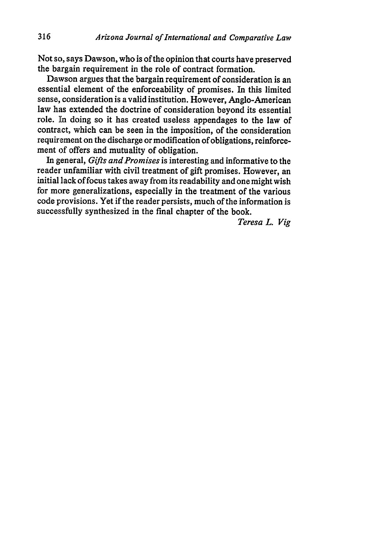Not **so,** says Dawson, who is of the opinion that courts have preserved the bagain requirement in the role of contract formation.

Dawson argues that the bargain requirement of consideration is an essential element of the enforceability of promises. In this limited sense, consideration is a valid institution. However, Anglo-American law has extended the doctrine of consideration beyond its essential role. **Ihn** doing so it has created useless appendages to the law of contract, which can be seen in the imposition, of the consideration requirement on the discharge or modification of obligations, reinforcement of offers and mutuality of obligation.

In general, *Gifts and Promises* is interesting and informative to the reader unfamiliar with civil treatment of gift promises. However, an initial lack of focus takes away from its readability and one might wish for more generalizations, especially in the treatment of the various code provisions. Yet if the reader persists, much of the information is successfully synthesized in the final chapter of the book.

*Teresa L. Vig*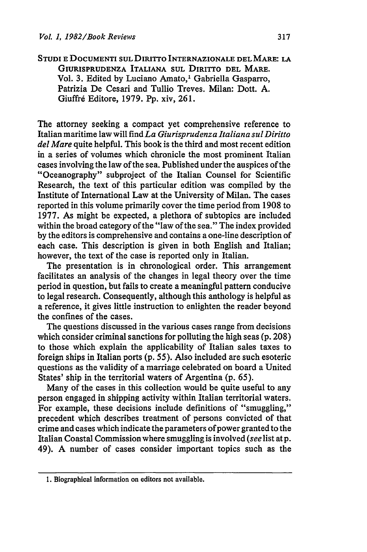**STUDI E DOCUMENTI SUL DIRITTO INTERNAZIONALE DEL MARE: LA GIURISPRUDENZA ITALIANA SUL DIRITTO DEL** MARE. Vol. **3.** Edited **by Luciano Amato,' Gabriella Gasparro, Patrizia** De **Cesari and** Tullio Treves. Milan: Dott. **A.** Giuffrd Editore, **1979. Pp.** xiv, **261.**

The attorney seeking a compact yet comprehensive reference to Italian maritime law will find *La Giurisprudenza Italiana sul Diritto del Mare* quite helpful. This book is the third and most recent edition in a series of volumes which chronicle the most prominent Italian cases involving the law of the sea. Published under the auspices of the "Oceanography" subproject of the Italian Counsel for Scientific Research, the text of this particular edition was compiled **by** the Institute of International Law at the University of Milan. The cases reported in this volume primarily cover the time period from **1908** to **1977.** As might be expected, a plethora of subtopics are included within the broad category of the "law of the sea." The index provided **by** the editors is comprehensive and contains a one-line description of each case. This description is given in both English and Italian; however, the text of the case is reported only in Italian.

The presentation is in chronological order. This arrangement facilitates an analysis of the changes in legal theory over the time period in question, but fails to create a meaningful pattern conducive to legal research. Consequently, although this anthology is helpful as a reference, it gives little instruction to enlighten the reader beyond the confines of the cases.

The questions discussed in the various cases range from decisions which consider criminal sanctions for polluting the high seas **(p. 208)** to those which explain the applicability of Italian sales taxes to foreign ships in Italian ports **(p. 55).** Also included are such esoteric questions as the validity of a marriage celebrated on board a United States' ship in the territorial waters of Argentina **(p. 65).**

Many of the cases in this collection would be quite useful to any person engaged in shipping activity within Italian territorial waters. For example, these decisions include definitions of "smuggling," precedent which describes treatment of persons convicted of that crime and cases which indicate the parameters of power granted to the Italian Coastal Commission where smuggling is involved *(see* list atp. 49). **A** number of cases consider important topics such as the

**<sup>1.</sup>** Biographical information on editors not available.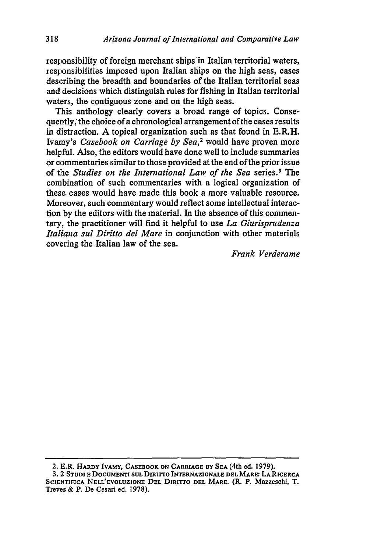responsibility of foreign merchant ships in Italian territorial waters, responsibilities imposed upon Italian ships on the high seas, cases describing the breadth and boundaries of the Italian territorial seas and decisions which distinguish rules for fishing in Italian territorial waters, the contiguous zone and on the high seas.

This anthology clearly covers a broad range of topics. Consequently; the choice of a chronological arrangement of the cases results in distraction. A topical organization such as that found in E.R.H. Ivamy's *Casebook on Carriage by Sea,2* would have proven more helpful. Also, the editors would have done well to include summaries or commentaries similar to those provided at the end of the prior issue of the *Studies on the International Law of the Sea* series.' The combination of such commentaries with a logical organization of these cases would have made this book a more valuable resource. Moreover, such commentary would reflect some intellectual interaction by the editors with the material. In the absence of this commentary, the practitioner will find it helpful to use *La Giurisprudenza Italiana sul Diritto del Mare* in conjunction with other materials covering the Italian law of the sea.

*Frank Verderame*

<sup>2.</sup> E.R. **HARDY IVAMY, CASEBOOK ON CARRIAGE BY SEA** (4th ed. **1979).**

**<sup>3.</sup>** 2 **STUDI E DOCUMENTI SUL DIRITTO INTERNAZIONALE DEL MARE: LA RICERCA SCIENTIFICA NELL'EVOLUZIONE DEL DIRITTO DEL MARE.** (R. P. **Mazzeschi,** T. **Treve.;** & P. **De Cesari ed. 1978).**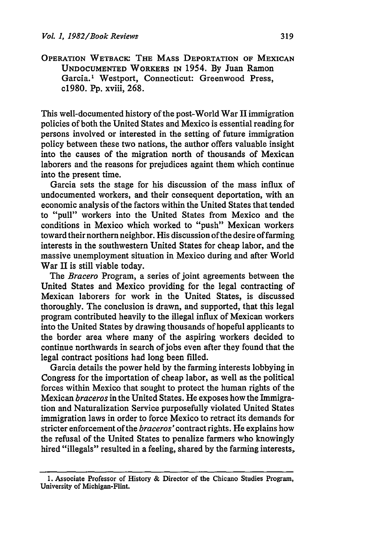**OPERATION WETBACK: THE MASS DEPORTATION OF MEXICAN UNDOCUMENTED WORKERS IN** 1954. **By** Juan **Ramon Garcia. ' Westport, Connecticut: Greenwood Press,** c1980. **Pp.** xviii, **268.**

This well-documented history of the post-World War II immigration policies of both the United States and Mexico is essential reading for persons involved or interested in the setting of future immigration policy between these two nations, the author offers valuable insight into the causes of the migration north of thousands of Mexican laborers and the reasons for prejudices againt them which continue into the present time.

Garcia sets the stage for his discussion of the mass influx of undocumented workers, and their consequent deportation, with an economic analysis of the factors within the United States that tended to "pull" workers into the United States from Mexico and the conditions in Mexico which worked to "push" Mexican workers toward their northern neighbor. His discussion of the desire of farming interests in the southwestern United States for cheap labor, and the massive unemployment situation in Mexico during and after World War II is still viable today.

The *Bracero* Program, a series of joint agreements between the United States and Mexico providing for the legal contracting of Mexican laborers for work in the United States, is discussed thoroughly. The conclusion is drawn, and supported, that this legal program contributed heavily to the illegal influx of Mexican workers into the United States **by** drawing thousands of hopeful applicants to the border area where many of the aspiring workers decided to continue northwards in search of jobs even after they found that the legal contract positions had long been filled.

Garcia details the power held **by** the farming interests lobbying in Congress for the importation of cheap labor, as well as the political forces within Mexico that sought to protect the human rights of the Mexican *braceros* in the United States. He exposes how the Immigration and Naturalization Service purposefully violated United States immigration laws in order to force Mexico to retract its demands for stricter enforcement of the *braceros'contract* rights. He explains how the refusal of the United States to penalize farmers who knowingly hired "illegals" resulted in a feeling, shared **by** the farming interests,

**<sup>1.</sup>** Associate Professor of History **&** Director of the Chicano Studies Program, University of Michigan-Flint.